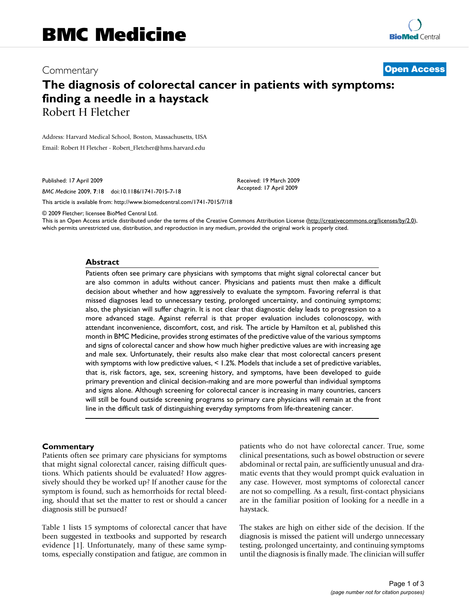## Commentary **[Open Access](http://www.biomedcentral.com/info/about/charter/)**

# **The diagnosis of colorectal cancer in patients with symptoms: finding a needle in a haystack** Robert H Fletcher

Address: Harvard Medical School, Boston, Massachusetts, USA Email: Robert H Fletcher - Robert\_Fletcher@hms.harvard.edu

Published: 17 April 2009

*BMC Medicine* 2009, **7**:18 doi:10.1186/1741-7015-7-18

[This article is available from: http://www.biomedcentral.com/1741-7015/7/18](http://www.biomedcentral.com/1741-7015/7/18)

© 2009 Fletcher; licensee BioMed Central Ltd.

This is an Open Access article distributed under the terms of the Creative Commons Attribution License [\(http://creativecommons.org/licenses/by/2.0\)](http://creativecommons.org/licenses/by/2.0), which permits unrestricted use, distribution, and reproduction in any medium, provided the original work is properly cited.

Received: 19 March 2009 Accepted: 17 April 2009

#### **Abstract**

Patients often see primary care physicians with symptoms that might signal colorectal cancer but are also common in adults without cancer. Physicians and patients must then make a difficult decision about whether and how aggressively to evaluate the symptom. Favoring referral is that missed diagnoses lead to unnecessary testing, prolonged uncertainty, and continuing symptoms; also, the physician will suffer chagrin. It is not clear that diagnostic delay leads to progression to a more advanced stage. Against referral is that proper evaluation includes colonoscopy, with attendant inconvenience, discomfort, cost, and risk. The article by Hamilton et al, published this month in BMC Medicine, provides strong estimates of the predictive value of the various symptoms and signs of colorectal cancer and show how much higher predictive values are with increasing age and male sex. Unfortunately, their results also make clear that most colorectal cancers present with symptoms with low predictive values, < 1.2%. Models that include a set of predictive variables, that is, risk factors, age, sex, screening history, and symptoms, have been developed to guide primary prevention and clinical decision-making and are more powerful than individual symptoms and signs alone. Although screening for colorectal cancer is increasing in many countries, cancers will still be found outside screening programs so primary care physicians will remain at the front line in the difficult task of distinguishing everyday symptoms from life-threatening cancer.

### **Commentary**

Patients often see primary care physicians for symptoms that might signal colorectal cancer, raising difficult questions. Which patients should be evaluated? How aggressively should they be worked up? If another cause for the symptom is found, such as hemorrhoids for rectal bleeding, should that set the matter to rest or should a cancer diagnosis still be pursued?

Table 1 lists 15 symptoms of colorectal cancer that have been suggested in textbooks and supported by research evidence [1]. Unfortunately, many of these same symptoms, especially constipation and fatigue, are common in patients who do not have colorectal cancer. True, some clinical presentations, such as bowel obstruction or severe abdominal or rectal pain, are sufficiently unusual and dramatic events that they would prompt quick evaluation in any case. However, most symptoms of colorectal cancer are not so compelling. As a result, first-contact physicians are in the familiar position of looking for a needle in a haystack.

The stakes are high on either side of the decision. If the diagnosis is missed the patient will undergo unnecessary testing, prolonged uncertainty, and continuing symptoms until the diagnosis is finally made. The clinician will suffer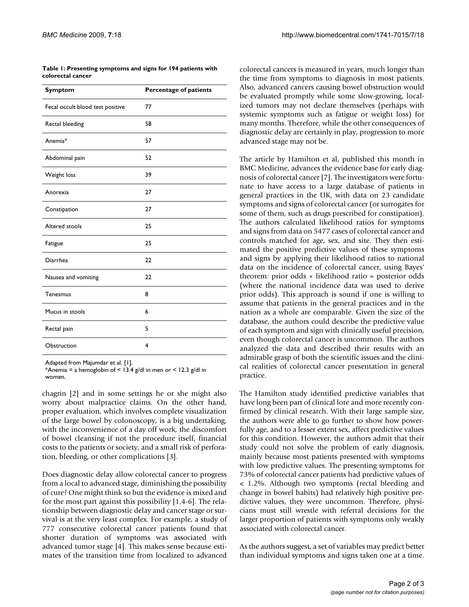| Table 1: Presenting symptoms and signs for 194 patients with |  |
|--------------------------------------------------------------|--|
| colorectal cancer                                            |  |

| <b>Symptom</b>                   | Percentage of patients |
|----------------------------------|------------------------|
| Fecal occult blood test positive | 77                     |
| Rectal bleeding                  | 58                     |
| Anemia*                          | 57                     |
| Abdominal pain                   | 52                     |
| Weight loss                      | 39                     |
| Anorexia                         | 27                     |
| Constipation                     | 27                     |
| Altered stools                   | 25                     |
| Fatigue                          | 25                     |
| Diarrhea                         | 22                     |
| Nausea and vomiting              | 22                     |
| Tenesmus                         | 8                      |
| Mucus in stools                  | 6                      |
| Rectal pain                      | 5                      |
| Obstruction                      | 4                      |

Adapted from Majumdar et al. [1].

\*Anemia = a hemoglobin of < 13.4 g/dl in men or < 12.3 g/dl in women.

chagrin [2] and in some settings he or she might also worry about malpractice claims. On the other hand, proper evaluation, which involves complete visualization of the large bowel by colonoscopy, is a big undertaking, with the inconvenience of a day off work, the discomfort of bowel cleansing if not the procedure itself, financial costs to the patients or society, and a small risk of perforation, bleeding, or other complications [3].

Does diagnostic delay allow colorectal cancer to progress from a local to advanced stage, diminishing the possibility of cure? One might think so but the evidence is mixed and for the most part against this possibility [1,4-6]. The relationship between diagnostic delay and cancer stage or survival is at the very least complex. For example, a study of 777 consecutive colorectal cancer patients found that shorter duration of symptoms was associated with advanced tumor stage [4]. This makes sense because estimates of the transition time from localized to advanced colorectal cancers is measured in years, much longer than the time from symptoms to diagnosis in most patients. Also, advanced cancers causing bowel obstruction would be evaluated promptly while some slow-growing, localized tumors may not declare themselves (perhaps with systemic symptoms such as fatigue or weight loss) for many months. Therefore, while the other consequences of diagnostic delay are certainly in play, progression to more advanced stage may not be.

The article by Hamilton et al, published this month in BMC Medicine, advances the evidence base for early diagnosis of colorectal cancer [7]. The investigators were fortunate to have access to a large database of patients in general practices in the UK, with data on 23 candidate symptoms and signs of colorectal cancer (or surrogates for some of them, such as drugs prescribed for constipation). The authors calculated likelihood ratios for symptoms and signs from data on 5477 cases of colorectal cancer and controls matched for age, sex, and site. They then estimated the positive predictive values of these symptoms and signs by applying their likelihood ratios to national data on the incidence of colorectal cancer, using Bayes' theorem: prior odds × likelihood ratio = posterior odds (where the national incidence data was used to derive prior odds). This approach is sound if one is willing to assume that patients in the general practices and in the nation as a whole are comparable. Given the size of the database, the authors could describe the predictive value of each symptom and sign with clinically useful precision, even though colorectal cancer is uncommon. The authors analyzed the data and described their results with an admirable grasp of both the scientific issues and the clinical realities of colorectal cancer presentation in general practice.

The Hamilton study identified predictive variables that have long been part of clinical lore and more recently confirmed by clinical research. With their large sample size, the authors were able to go further to show how powerfully age, and to a lesser extent sex, affect predictive values for this condition. However, the authors admit that their study could not solve the problem of early diagnosis, mainly because most patients presented with symptoms with low predictive values. The presenting symptoms for 73% of colorectal cancer patients had predictive values of < 1.2%. Although two symptoms (rectal bleeding and change in bowel habits) had relatively high positive predictive values, they were uncommon. Therefore, physicians must still wrestle with referral decisions for the larger proportion of patients with symptoms only weakly associated with colorectal cancer.

As the authors suggest, a set of variables may predict better than individual symptoms and signs taken one at a time.